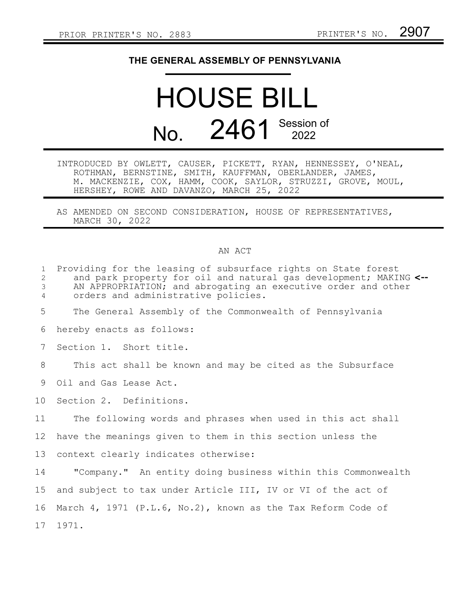## **THE GENERAL ASSEMBLY OF PENNSYLVANIA**

## HOUSE BILL No. 2461 Session of

INTRODUCED BY OWLETT, CAUSER, PICKETT, RYAN, HENNESSEY, O'NEAL, ROTHMAN, BERNSTINE, SMITH, KAUFFMAN, OBERLANDER, JAMES, M. MACKENZIE, COX, HAMM, COOK, SAYLOR, STRUZZI, GROVE, MOUL, HERSHEY, ROWE AND DAVANZO, MARCH 25, 2022

AS AMENDED ON SECOND CONSIDERATION, HOUSE OF REPRESENTATIVES, MARCH 30, 2022

## AN ACT

| $\mathbf{1}$<br>2<br>3<br>4 | Providing for the leasing of subsurface rights on State forest<br>and park property for oil and natural gas development; MAKING <--<br>AN APPROPRIATION; and abrogating an executive order and other<br>orders and administrative policies. |
|-----------------------------|---------------------------------------------------------------------------------------------------------------------------------------------------------------------------------------------------------------------------------------------|
| 5                           | The General Assembly of the Commonwealth of Pennsylvania                                                                                                                                                                                    |
| 6                           | hereby enacts as follows:                                                                                                                                                                                                                   |
| 7                           | Section 1. Short title.                                                                                                                                                                                                                     |
| 8                           | This act shall be known and may be cited as the Subsurface                                                                                                                                                                                  |
| 9                           | Oil and Gas Lease Act.                                                                                                                                                                                                                      |
| 10                          | Section 2. Definitions.                                                                                                                                                                                                                     |
| 11                          | The following words and phrases when used in this act shall                                                                                                                                                                                 |
| 12                          | have the meanings given to them in this section unless the                                                                                                                                                                                  |
| 13                          | context clearly indicates otherwise:                                                                                                                                                                                                        |
| 14                          | "Company." An entity doing business within this Commonwealth                                                                                                                                                                                |
| 15 <sub>1</sub>             | and subject to tax under Article III, IV or VI of the act of                                                                                                                                                                                |
| 16                          | March 4, 1971 (P.L.6, No.2), known as the Tax Reform Code of                                                                                                                                                                                |
| 17                          | 1971.                                                                                                                                                                                                                                       |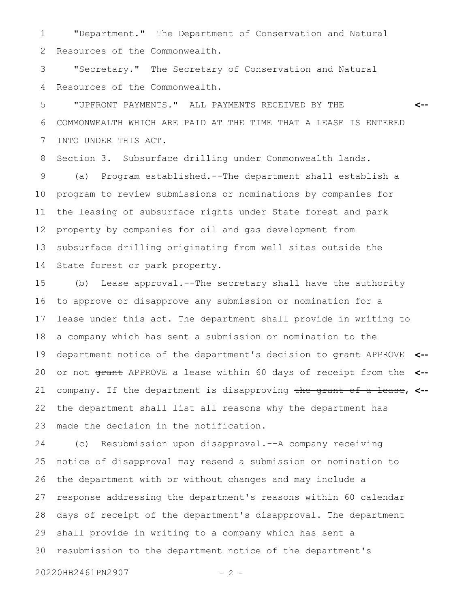"Department." The Department of Conservation and Natural Resources of the Commonwealth. 1 2

"Secretary." The Secretary of Conservation and Natural Resources of the Commonwealth. 3 4

"UPFRONT PAYMENTS." ALL PAYMENTS RECEIVED BY THE COMMONWEALTH WHICH ARE PAID AT THE TIME THAT A LEASE IS ENTERED INTO UNDER THIS ACT. **<--** 5 6 7

Section 3. Subsurface drilling under Commonwealth lands. (a) Program established.--The department shall establish a program to review submissions or nominations by companies for the leasing of subsurface rights under State forest and park property by companies for oil and gas development from subsurface drilling originating from well sites outside the State forest or park property. 8 9 10 11 12 13 14

(b) Lease approval.--The secretary shall have the authority to approve or disapprove any submission or nomination for a lease under this act. The department shall provide in writing to a company which has sent a submission or nomination to the department notice of the department's decision to grant APPROVE **<-** or not grant APPROVE a lease within 60 days of receipt from the **<-** company. If the department is disapproving the grant of a lease, **<-** the department shall list all reasons why the department has made the decision in the notification. 15 16 17 18 19 20 21 22 23

(c) Resubmission upon disapproval.--A company receiving notice of disapproval may resend a submission or nomination to the department with or without changes and may include a response addressing the department's reasons within 60 calendar days of receipt of the department's disapproval. The department shall provide in writing to a company which has sent a resubmission to the department notice of the department's 24 25 26 27 28 29 30

20220HB2461PN2907 - 2 -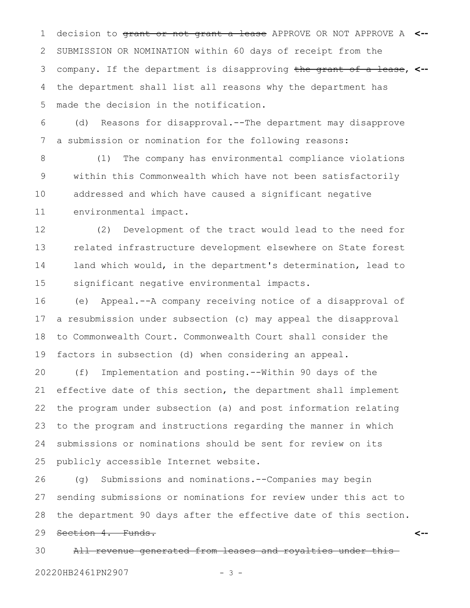decision to grant or not grant a lease APPROVE OR NOT APPROVE A **<--** SUBMISSION OR NOMINATION within 60 days of receipt from the company. If the department is disapproving the grant of a lease, **<-** the department shall list all reasons why the department has made the decision in the notification. 1 2 3 4 5

(d) Reasons for disapproval.--The department may disapprove a submission or nomination for the following reasons: 6 7

(1) The company has environmental compliance violations within this Commonwealth which have not been satisfactorily addressed and which have caused a significant negative environmental impact. 8 9 10 11

(2) Development of the tract would lead to the need for related infrastructure development elsewhere on State forest land which would, in the department's determination, lead to significant negative environmental impacts. 12 13 14 15

(e) Appeal.--A company receiving notice of a disapproval of a resubmission under subsection (c) may appeal the disapproval to Commonwealth Court. Commonwealth Court shall consider the factors in subsection (d) when considering an appeal. 16 17 18 19

(f) Implementation and posting.--Within 90 days of the effective date of this section, the department shall implement the program under subsection (a) and post information relating to the program and instructions regarding the manner in which submissions or nominations should be sent for review on its publicly accessible Internet website. 20 21 22 23 24 25

(g) Submissions and nominations.--Companies may begin sending submissions or nominations for review under this act to the department 90 days after the effective date of this section. Section 4. Funds. 26 27 28 29

All revenue generated from leases and royalties under this 30

20220HB2461PN2907 - 3 -

**<--**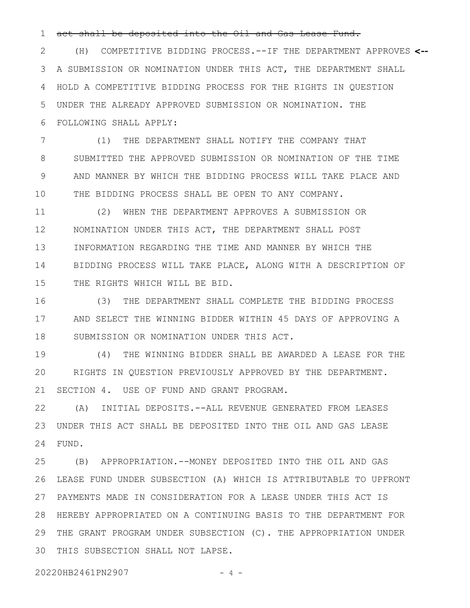## act shall be deposited into the Oil and Gas Lease Fund. 1

(H) COMPETITIVE BIDDING PROCESS.--IF THE DEPARTMENT APPROVES **<--** A SUBMISSION OR NOMINATION UNDER THIS ACT, THE DEPARTMENT SHALL HOLD A COMPETITIVE BIDDING PROCESS FOR THE RIGHTS IN QUESTION UNDER THE ALREADY APPROVED SUBMISSION OR NOMINATION. THE FOLLOWING SHALL APPLY: 2 3 4 5 6

(1) THE DEPARTMENT SHALL NOTIFY THE COMPANY THAT SUBMITTED THE APPROVED SUBMISSION OR NOMINATION OF THE TIME AND MANNER BY WHICH THE BIDDING PROCESS WILL TAKE PLACE AND THE BIDDING PROCESS SHALL BE OPEN TO ANY COMPANY. 7 8 9 10

(2) WHEN THE DEPARTMENT APPROVES A SUBMISSION OR NOMINATION UNDER THIS ACT, THE DEPARTMENT SHALL POST INFORMATION REGARDING THE TIME AND MANNER BY WHICH THE BIDDING PROCESS WILL TAKE PLACE, ALONG WITH A DESCRIPTION OF THE RIGHTS WHICH WILL BE BID. 11 12 13 14 15

(3) THE DEPARTMENT SHALL COMPLETE THE BIDDING PROCESS AND SELECT THE WINNING BIDDER WITHIN 45 DAYS OF APPROVING A SUBMISSION OR NOMINATION UNDER THIS ACT. 16 17 18

(4) THE WINNING BIDDER SHALL BE AWARDED A LEASE FOR THE RIGHTS IN QUESTION PREVIOUSLY APPROVED BY THE DEPARTMENT. SECTION 4. USE OF FUND AND GRANT PROGRAM. 19 20 21

(A) INITIAL DEPOSITS.--ALL REVENUE GENERATED FROM LEASES UNDER THIS ACT SHALL BE DEPOSITED INTO THE OIL AND GAS LEASE FUND. 22 23 24

(B) APPROPRIATION.--MONEY DEPOSITED INTO THE OIL AND GAS LEASE FUND UNDER SUBSECTION (A) WHICH IS ATTRIBUTABLE TO UPFRONT PAYMENTS MADE IN CONSIDERATION FOR A LEASE UNDER THIS ACT IS 27 HEREBY APPROPRIATED ON A CONTINUING BASIS TO THE DEPARTMENT FOR 28 THE GRANT PROGRAM UNDER SUBSECTION (C). THE APPROPRIATION UNDER 29 30 THIS SUBSECTION SHALL NOT LAPSE. 25 26

20220HB2461PN2907 - 4 -